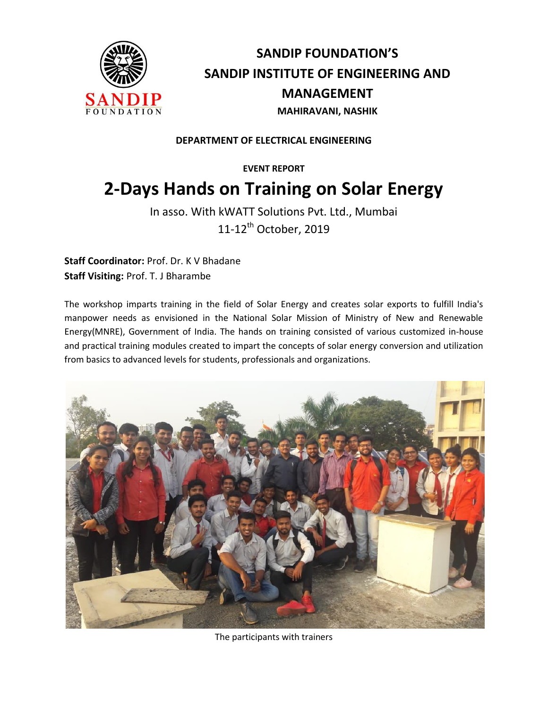

## **SANDIP FOUNDATION'S SANDIP INSTITUTE OF ENGINEERING AND MANAGEMENT MAHIRAVANI, NASHIK**

## **DEPARTMENT OF ELECTRICAL ENGINEERING**

# **EVENT REPORT 2-Days Hands on Training on Solar Energy**

In asso. With kWATT Solutions Pvt. Ltd., Mumbai 11-12<sup>th</sup> October, 2019

**Staff Coordinator:** Prof. Dr. K V Bhadane **Staff Visiting:** Prof. T. J Bharambe

The workshop imparts training in the field of Solar Energy and creates solar exports to fulfill India's manpower needs as envisioned in the National Solar Mission of Ministry of New and Renewable Energy(MNRE), Government of India. The hands on training consisted of various customized in-house and practical training modules created to impart the concepts of solar energy conversion and utilization from basics to advanced levels for students, professionals and organizations.



The participants with trainers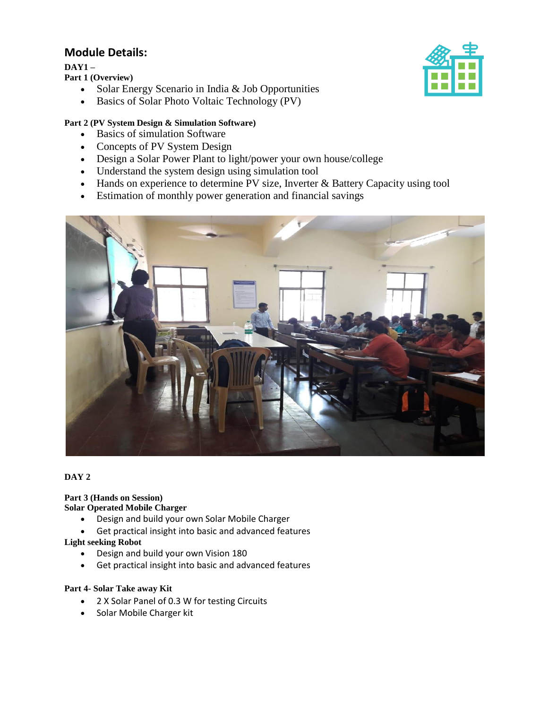## **Module Details:**

**DAY1 –**

**Part 1 (Overview)**

- $\bullet$  Solar Energy Scenario in India & Job Opportunities
- Basics of Solar Photo Voltaic Technology (PV)

### **Part 2 (PV System Design & Simulation Software)**

- Basics of simulation Software
- Concepts of PV System Design
- Design a Solar Power Plant to light/power your own house/college
- Understand the system design using simulation tool
- Hands on experience to determine PV size, Inverter & Battery Capacity using tool
- Estimation of monthly power generation and financial savings



#### **DAY 2**

#### **Part 3 (Hands on Session)**

#### **Solar Operated Mobile Charger**

- Design and build your own Solar Mobile Charger
- Get practical insight into basic and advanced features

#### **Light seeking Robot**

- Design and build your own Vision 180
- Get practical insight into basic and advanced features

#### **Part 4- Solar Take away Kit**

- 2 X Solar Panel of 0.3 W for testing Circuits
- Solar Mobile Charger kit

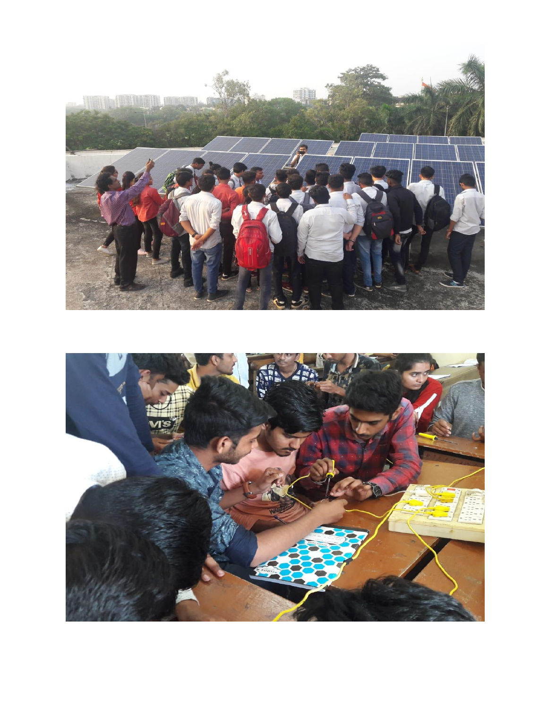